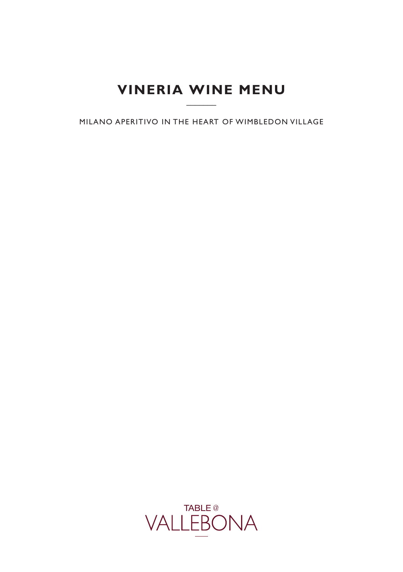# **VINERIA WINE MENU**   $\overline{\phantom{a}}$

MILANO APERITIVO IN THE HEART OF WIMBLEDON VILLAGE

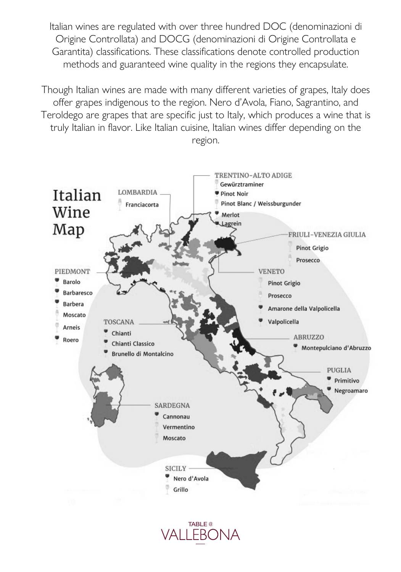Italian wines are regulated with over three hundred DOC (denominazioni di Origine Controllata) and DOCG (denominazioni di Origine Controllata e Garantita) classifications. These classifications denote controlled production methods and guaranteed wine quality in the regions they encapsulate.

Though Italian wines are made with many different varieties of grapes, Italy does offer grapes indigenous to the region. Nero d'Avola, Fiano, Sagrantino, and Teroldego are grapes that are specific just to Italy, which produces a wine that is truly Italian in flavor. Like Italian cuisine, Italian wines differ depending on the region.



TABLE<sup>@</sup>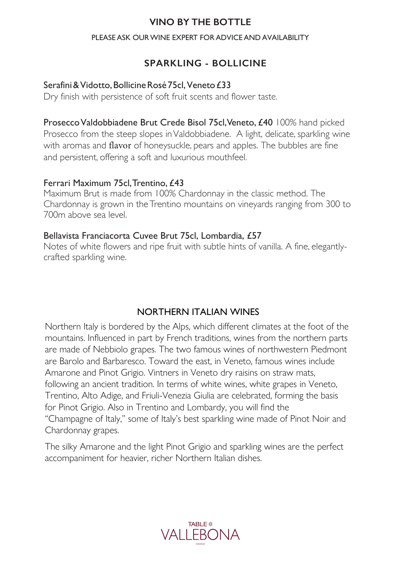## **VINO BY THE BOTTLE**

#### PLEASE ASK OUR WINE EXPERT FOR ADVICE AND AVAILABILITY

# **SPARKLING - BOLLICINE**

### Serafini & Vidotto, Bollicine Rosé 75cl, Veneto £33

Dry finish with persistence of soft fruit scents and flower taste.

Prosecco Valdobbiadene Brut Crede Bisol 75cl, Veneto, £40 100% hand picked Prosecco from the steep slopes in Valdobbiadene. A light, delicate, sparkling wine with aromas and flavor of honeysuckle, pears and apples. The bubbles are fine and persistent, offering a soft and luxurious mouthfeel.

### Ferrari Maximum 75cl, Trentino, £43

Maximum Brut is made from 100% Chardonnay in the classic method. The Chardonnay is grown in the Trentino mountains on vineyards ranging from 300 to 700m above sea level.

#### Bellavista Franciacorta Cuvee Brut 75cl, Lombardia, £57

Notes of white flowers and ripe fruit with subtle hints of vanilla. A fine, elegantlycrafted sparkling wine.

# NORTHERN ITALIAN WINES

Northern Italy is bordered by the Alps, which different climates at the foot of the mountains. Influenced in part by French traditions, wines from the northern parts are made of Nebbiolo grapes. The two famous wines of northwestern Piedmont are Barolo and Barbaresco. Toward the east, in Veneto, famous wines include Amarone and Pinot Grigio. Vintners in Veneto dry raisins on straw mats, following an ancient tradition. In terms of white wines, white grapes in Veneto, Trentino, Alto Adige, and Friuli-Venezia Giulia are celebrated, forming the basis for Pinot Grigio. Also in Trentino and Lombardy, you will find the "Champagne of Italy," some of Italy's best sparkling wine made of Pinot Noir and Chardonnay grapes.

The silky Amarone and the light Pinot Grigio and sparkling wines are the perfect accompaniment for heavier, richer Northern Italian dishes.

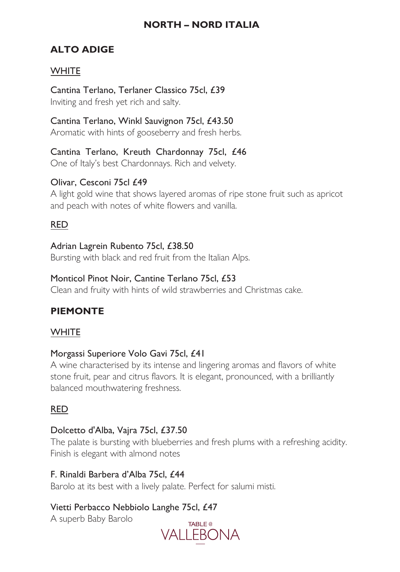# **NORTH – NORD ITALIA**

# **ALTO ADIGE**

## **WHITE**

Cantina Terlano, Terlaner Classico 75cl, £39 Inviting and fresh yet rich and salty.

Cantina Terlano, Winkl Sauvignon 75cl, £43.50 Aromatic with hints of gooseberry and fresh herbs.

Cantina Terlano, Kreuth Chardonnay 75cl, £46 One of Italy's best Chardonnays. Rich and velvety.

## Olivar, Cesconi 75cl £49

A light gold wine that shows layered aromas of ripe stone fruit such as apricot and peach with notes of white flowers and vanilla.

## RED

Adrian Lagrein Rubento 75cl, £38.50 Bursting with black and red fruit from the Italian Alps.

### Monticol Pinot Noir, Cantine Terlano 75cl, £53

Clean and fruity with hints of wild strawberries and Christmas cake.

# **PIEMONTE**

### **WHITE**

### Morgassi Superiore Volo Gavi 75cl, £41

A wine characterised by its intense and lingering aromas and flavors of white stone fruit, pear and citrus flavors. It is elegant, pronounced, with a brilliantly balanced mouthwatering freshness.

# RED

### Dolcetto d'Alba, Vajra 75cl, £37.50

The palate is bursting with blueberries and fresh plums with a refreshing acidity. Finish is elegant with almond notes

### F. Rinaldi Barbera d'Alba 75cl, £44

Barolo at its best with a lively palate. Perfect for salumi misti.

# Vietti Perbacco Nebbiolo Langhe 75cl, £47

A superb Baby Barolo

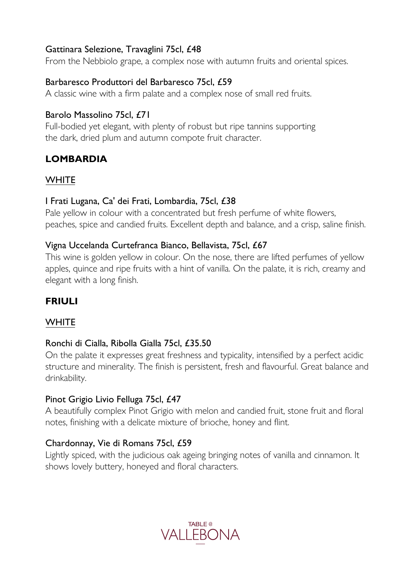### Gattinara Selezione, Travaglini 75cl, £48

From the Nebbiolo grape, a complex nose with autumn fruits and oriental spices.

## Barbaresco Produttori del Barbaresco 75cl, £59

A classic wine with a firm palate and a complex nose of small red fruits.

## Barolo Massolino 75cl, £71

Full-bodied yet elegant, with plenty of robust but ripe tannins supporting the dark, dried plum and autumn compote fruit character.

# **LOMBARDIA**

## **WHITE**

## I Frati Lugana, Ca' dei Frati, Lombardia, 75cl, £38

Pale yellow in colour with a concentrated but fresh perfume of white flowers, peaches, spice and candied fruits. Excellent depth and balance, and a crisp, saline finish.

### Vigna Uccelanda Curtefranca Bianco, Bellavista, 75cl, £67

This wine is golden yellow in colour. On the nose, there are lifted perfumes of yellow apples, quince and ripe fruits with a hint of vanilla. On the palate, it is rich, creamy and elegant with a long finish.

# **FRIULI**

# **WHITE**

### Ronchi di Cialla, Ribolla Gialla 75cl, £35.50

On the palate it expresses great freshness and typicality, intensified by a perfect acidic structure and minerality. The finish is persistent, fresh and flavourful. Great balance and drinkability.

### Pinot Grigio Livio Felluga 75cl, £47

A beautifully complex Pinot Grigio with melon and candied fruit, stone fruit and floral notes, finishing with a delicate mixture of brioche, honey and flint.

### Chardonnay, Vie di Romans 75cl, £59

Lightly spiced, with the judicious oak ageing bringing notes of vanilla and cinnamon. It shows lovely buttery, honeyed and floral characters.

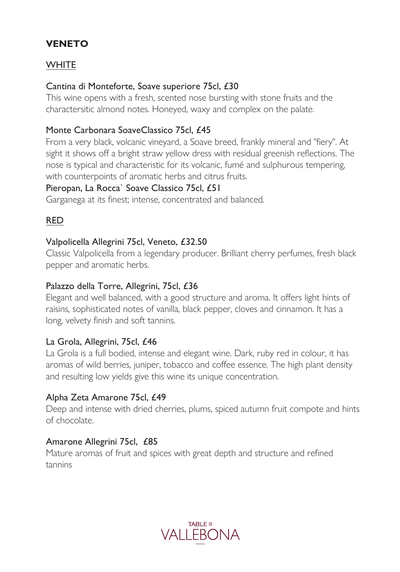# **VENETO**

# **WHITE**

### Cantina di Monteforte, Soave superiore 75cl, £30

This wine opens with a fresh, scented nose bursting with stone fruits and the charactersitic almond notes. Honeyed, waxy and complex on the palate.

## Monte Carbonara SoaveClassico 75cl, £45

From a very black, volcanic vineyard, a Soave breed, frankly mineral and "fiery". At sight it shows off a bright straw yellow dress with residual greenish reflections. The nose is typical and characteristic for its volcanic, fumé and sulphurous tempering, with counterpoints of aromatic herbs and citrus fruits.

### Pieropan, La Rocca` Soave Classico 75cl, £51

Garganega at its finest; intense, concentrated and balanced.

# RED

### Valpolicella Allegrini 75cl, Veneto, £32.50

Classic Valpolicella from a legendary producer. Brilliant cherry perfumes, fresh black pepper and aromatic herbs.

### Palazzo della Torre, Allegrini, 75cl, £36

Elegant and well balanced, with a good structure and aroma. It offers light hints of raisins, sophisticated notes of vanilla, black pepper, cloves and cinnamon. It has a long, velvety finish and soft tannins.

### La Grola, Allegrini, 75cl, £46

La Grola is a full bodied, intense and elegant wine. Dark, ruby red in colour, it has aromas of wild berries, juniper, tobacco and coffee essence. The high plant density and resulting low yields give this wine its unique concentration.

### Alpha Zeta Amarone 75cl, £49

Deep and intense with dried cherries, plums, spiced autumn fruit compote and hints of chocolate.

### Amarone Allegrini 75cl, £85

Mature aromas of fruit and spices with great depth and structure and refined tannins

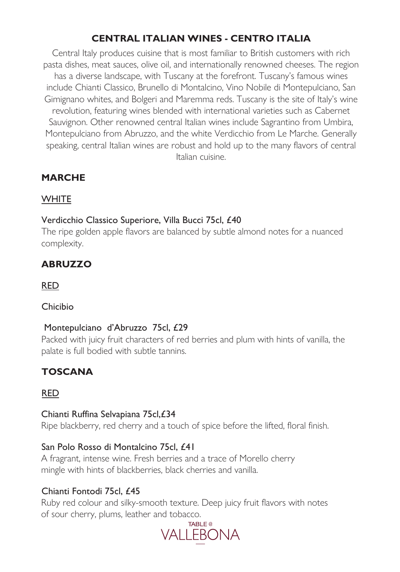# **CENTRAL ITALIAN WINES - CENTRO ITALIA**

Central Italy produces cuisine that is most familiar to British customers with rich pasta dishes, meat sauces, olive oil, and internationally renowned cheeses. The region has a diverse landscape, with Tuscany at the forefront. Tuscany's famous wines include Chianti Classico, Brunello di Montalcino, Vino Nobile di Montepulciano, San Gimignano whites, and Bolgeri and Maremma reds. Tuscany is the site of Italy's wine revolution, featuring wines blended with international varieties such as Cabernet Sauvignon. Other renowned central Italian wines include Sagrantino from Umbira, Montepulciano from Abruzzo, and the white Verdicchio from Le Marche. Generally speaking, central Italian wines are robust and hold up to the many flavors of central Italian cuisine.

# **MARCHE**

# **WHITE**

# Verdicchio Classico Superiore, Villa Bucci 75cl, £40

The ripe golden apple flavors are balanced by subtle almond notes for a nuanced complexity.

# **ABRUZZO**

RED

# Chicibio

# Montepulciano d'Abruzzo 75cl, £29

Packed with juicy fruit characters of red berries and plum with hints of vanilla, the palate is full bodied with subtle tannins.

# **TOSCANA**

# RED

# Chianti Ruffina Selvapiana 75cl,£34

Ripe blackberry, red cherry and a touch of spice before the lifted, floral finish.

# San Polo Rosso di Montalcino 75cl, £41

A fragrant, intense wine. Fresh berries and a trace of Morello cherry mingle with hints of blackberries, black cherries and vanilla.

# Chianti Fontodi 75cl, £45

Ruby red colour and silky-smooth texture. Deep juicy fruit flavors with notes of sour cherry, plums, leather and tobacco.

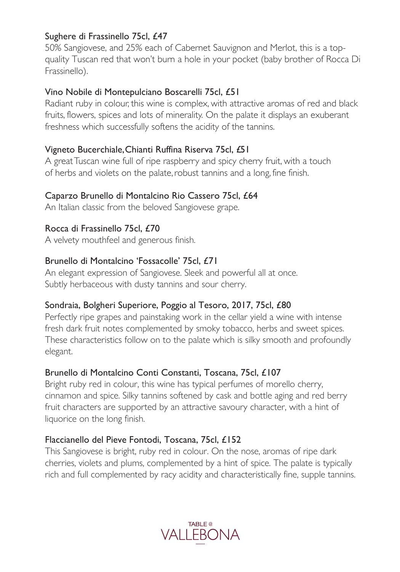## Sughere di Frassinello 75cl, £47

50% Sangiovese, and 25% each of Cabernet Sauvignon and Merlot, this is a topquality Tuscan red that won't burn a hole in your pocket (baby brother of Rocca Di Frassinello).

## Vino Nobile di Montepulciano Boscarelli 75cl, £51

Radiant ruby in colour, this wine is complex, with attractive aromas of red and black fruits, flowers, spices and lots of minerality. On the palate it displays an exuberant freshness which successfully softens the acidity of the tannins.

## Vigneto Bucerchiale, Chianti Ruffina Riserva 75cl, £51

A great Tuscan wine full of ripe raspberry and spicy cherry fruit, with a touch of herbs and violets on the palate, robust tannins and a long, fine finish.

### Caparzo Brunello di Montalcino Rio Cassero 75cl, £64

An Italian classic from the beloved Sangiovese grape.

## Rocca di Frassinello 75cl, £70

A velvety mouthfeel and generous finish.

### Brunello di Montalcino 'Fossacolle' 75cl, £71

An elegant expression of Sangiovese. Sleek and powerful all at once. Subtly herbaceous with dusty tannins and sour cherry.

### Sondraia, Bolgheri Superiore, Poggio al Tesoro, 2017, 75cl, £80

Perfectly ripe grapes and painstaking work in the cellar yield a wine with intense fresh dark fruit notes complemented by smoky tobacco, herbs and sweet spices. These characteristics follow on to the palate which is silky smooth and profoundly elegant.

### Brunello di Montalcino Conti Constanti, Toscana, 75cl, £107

Bright ruby red in colour, this wine has typical perfumes of morello cherry, cinnamon and spice. Silky tannins softened by cask and bottle aging and red berry fruit characters are supported by an attractive savoury character, with a hint of liquorice on the long finish.

# Flaccianello del Pieve Fontodi, Toscana, 75cl, £152

This Sangiovese is bright, ruby red in colour. On the nose, aromas of ripe dark cherries, violets and plums, complemented by a hint of spice. The palate is typically rich and full complemented by racy acidity and characteristically fine, supple tannins.

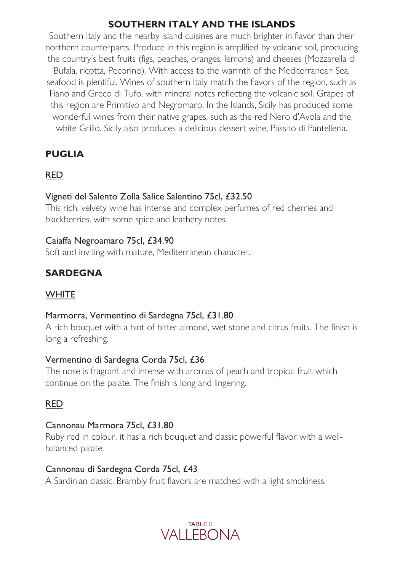# **SOUTHERN ITALY AND THE ISLANDS**

Southern Italy and the nearby island cuisines are much brighter in flavor than their northern counterparts. Produce in this region is amplified by volcanic soil, producing the country's best fruits (figs, peaches, oranges, lemons) and cheeses (Mozzarella di Bufala, ricotta, Pecorino). With access to the warmth of the Mediterranean Sea, seafood is plentiful. Wines of southern Italy match the flavors of the region, such as Fiano and Greco di Tufo, with mineral notes reflecting the volcanic soil. Grapes of this region are Primitivo and Negromaro. In the Islands, Sicily has produced some wonderful wines from their native grapes, such as the red Nero d'Avola and the white Grillo. Sicily also produces a delicious dessert wine, Passito di Pantelleria.

# **PUGLIA**

### RED

### Vigneti del Salento Zolla Salice Salentino 75cl, £32.50

This rich, velvety wine has intense and complex perfumes of red cherries and blackberries, with some spice and leathery notes.

#### Caiaffa Negroamaro 75cl, £34.90

Soft and inviting with mature, Mediterranean character.

# **SARDEGNA**

### **WHITE**

#### Marmorra, Vermentino di Sardegna 75cl, £31.80

A rich bouquet with a hint of bitter almond, wet stone and citrus fruits. The finish is long a refreshing.

### Vermentino di Sardegna Corda 75cl, £36

The nose is fragrant and intense with aromas of peach and tropical fruit which continue on the palate. The finish is long and lingering.

# RED

### Cannonau Marmora 75cl, £31.80

Ruby red in colour, it has a rich bouquet and classic powerful flavor with a wellbalanced palate.

### Cannonau di Sardegna Corda 75cl, £43

A Sardinian classic. Brambly fruit flavors are matched with a light smokiness.

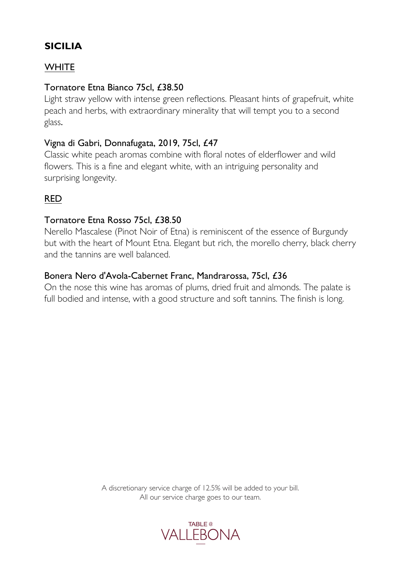# **SICILIA**

# **WHITE**

## Tornatore Etna Bianco 75cl, £38.50

Light straw yellow with intense green reflections. Pleasant hints of grapefruit, white peach and herbs, with extraordinary minerality that will tempt you to a second glass.

### Vigna di Gabri, Donnafugata, 2019, 75cl, £47

Classic white peach aromas combine with floral notes of elderflower and wild flowers. This is a fine and elegant white, with an intriguing personality and surprising longevity.

# RED

### Tornatore Etna Rosso 75cl, £38.50

Nerello Mascalese (Pinot Noir of Etna) is reminiscent of the essence of Burgundy but with the heart of Mount Etna. Elegant but rich, the morello cherry, black cherry and the tannins are well balanced.

### Bonera Nero d'Avola-Cabernet Franc, Mandrarossa, 75cl, £36

On the nose this wine has aromas of plums, dried fruit and almonds. The palate is full bodied and intense, with a good structure and soft tannins. The finish is long.

> A discretionary service charge of 12.5% will be added to your bill. All our service charge goes to our team.

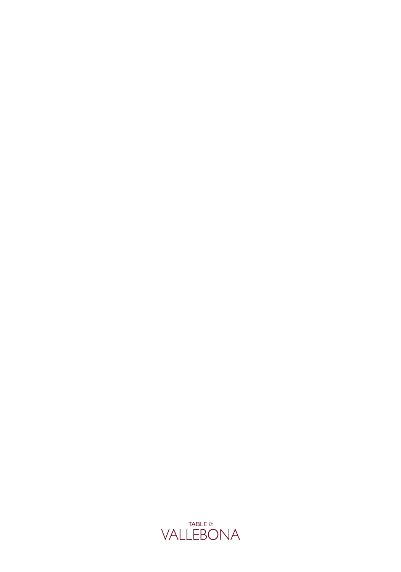